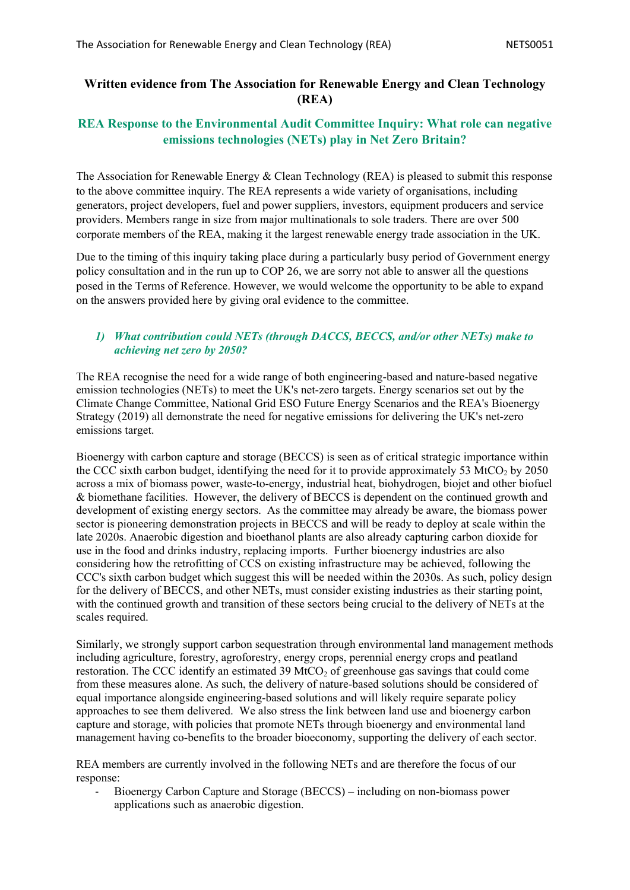# **Written evidence from The Association for Renewable Energy and Clean Technology (REA)**

# **REA Response to the Environmental Audit Committee Inquiry: What role can negative emissions technologies (NETs) play in Net Zero Britain?**

The Association for Renewable Energy & Clean Technology (REA) is pleased to submit this response to the above committee inquiry. The REA represents a wide variety of organisations, including generators, project developers, fuel and power suppliers, investors, equipment producers and service providers. Members range in size from major multinationals to sole traders. There are over 500 corporate members of the REA, making it the largest renewable energy trade association in the UK.

Due to the timing of this inquiry taking place during a particularly busy period of Government energy policy consultation and in the run up to COP 26, we are sorry not able to answer all the questions posed in the Terms of Reference. However, we would welcome the opportunity to be able to expand on the answers provided here by giving oral evidence to the committee.

## *1) What contribution could NETs (through DACCS, BECCS, and/or other NETs) make to achieving net zero by 2050?*

The REA recognise the need for a wide range of both engineering-based and nature-based negative emission technologies (NETs) to meet the UK's net-zero targets. Energy scenarios set out by the Climate Change Committee, National Grid ESO Future Energy Scenarios and the REA's Bioenergy Strategy (2019) all demonstrate the need for negative emissions for delivering the UK's net-zero emissions target.

Bioenergy with carbon capture and storage (BECCS) is seen as of critical strategic importance within the CCC sixth carbon budget, identifying the need for it to provide approximately 53 MtCO<sub>2</sub> by 2050 across a mix of biomass power, waste-to-energy, industrial heat, biohydrogen, biojet and other biofuel & biomethane facilities. However, the delivery of BECCS is dependent on the continued growth and development of existing energy sectors. As the committee may already be aware, the biomass power sector is pioneering demonstration projects in BECCS and will be ready to deploy at scale within the late 2020s. Anaerobic digestion and bioethanol plants are also already capturing carbon dioxide for use in the food and drinks industry, replacing imports. Further bioenergy industries are also considering how the retrofitting of CCS on existing infrastructure may be achieved, following the CCC's sixth carbon budget which suggest this will be needed within the 2030s. As such, policy design for the delivery of BECCS, and other NETs, must consider existing industries as their starting point, with the continued growth and transition of these sectors being crucial to the delivery of NETs at the scales required.

Similarly, we strongly support carbon sequestration through environmental land management methods including agriculture, forestry, agroforestry, energy crops, perennial energy crops and peatland restoration. The CCC identify an estimated 39 MtCO<sub>2</sub> of greenhouse gas savings that could come from these measures alone. As such, the delivery of nature-based solutions should be considered of equal importance alongside engineering-based solutions and will likely require separate policy approaches to see them delivered. We also stress the link between land use and bioenergy carbon capture and storage, with policies that promote NETs through bioenergy and environmental land management having co-benefits to the broader bioeconomy, supporting the delivery of each sector.

REA members are currently involved in the following NETs and are therefore the focus of our response:

- Bioenergy Carbon Capture and Storage (BECCS) – including on non-biomass power applications such as anaerobic digestion.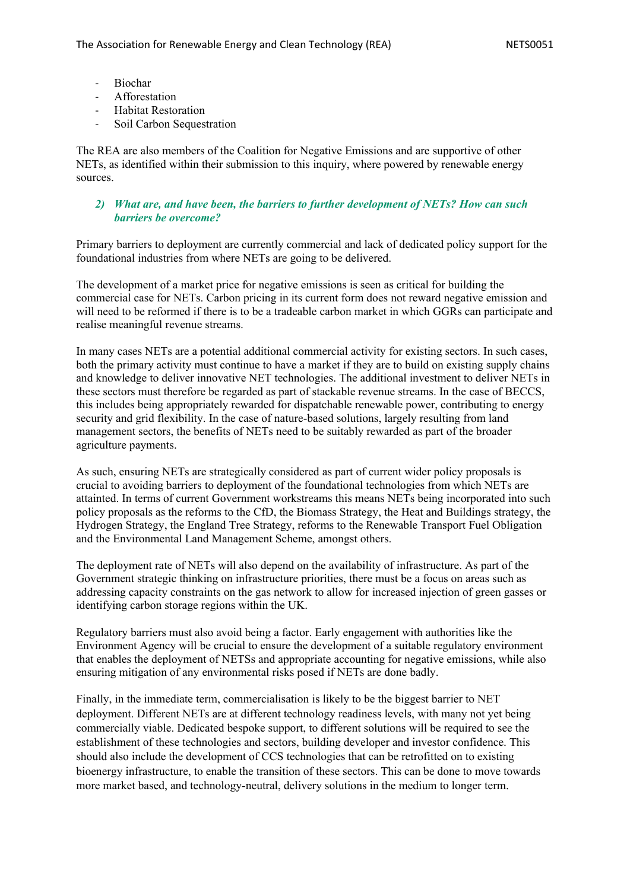- **Biochar**
- **Afforestation**
- Habitat Restoration
- Soil Carbon Sequestration

The REA are also members of the Coalition for Negative Emissions and are supportive of other NETs, as identified within their submission to this inquiry, where powered by renewable energy sources.

#### *2) What are, and have been, the barriers to further development of NETs? How can such barriers be overcome?*

Primary barriers to deployment are currently commercial and lack of dedicated policy support for the foundational industries from where NETs are going to be delivered.

The development of a market price for negative emissions is seen as critical for building the commercial case for NETs. Carbon pricing in its current form does not reward negative emission and will need to be reformed if there is to be a tradeable carbon market in which GGRs can participate and realise meaningful revenue streams.

In many cases NETs are a potential additional commercial activity for existing sectors. In such cases, both the primary activity must continue to have a market if they are to build on existing supply chains and knowledge to deliver innovative NET technologies. The additional investment to deliver NETs in these sectors must therefore be regarded as part of stackable revenue streams. In the case of BECCS, this includes being appropriately rewarded for dispatchable renewable power, contributing to energy security and grid flexibility. In the case of nature-based solutions, largely resulting from land management sectors, the benefits of NETs need to be suitably rewarded as part of the broader agriculture payments.

As such, ensuring NETs are strategically considered as part of current wider policy proposals is crucial to avoiding barriers to deployment of the foundational technologies from which NETs are attainted. In terms of current Government workstreams this means NETs being incorporated into such policy proposals as the reforms to the CfD, the Biomass Strategy, the Heat and Buildings strategy, the Hydrogen Strategy, the England Tree Strategy, reforms to the Renewable Transport Fuel Obligation and the Environmental Land Management Scheme, amongst others.

The deployment rate of NETs will also depend on the availability of infrastructure. As part of the Government strategic thinking on infrastructure priorities, there must be a focus on areas such as addressing capacity constraints on the gas network to allow for increased injection of green gasses or identifying carbon storage regions within the UK.

Regulatory barriers must also avoid being a factor. Early engagement with authorities like the Environment Agency will be crucial to ensure the development of a suitable regulatory environment that enables the deployment of NETSs and appropriate accounting for negative emissions, while also ensuring mitigation of any environmental risks posed if NETs are done badly.

Finally, in the immediate term, commercialisation is likely to be the biggest barrier to NET deployment. Different NETs are at different technology readiness levels, with many not yet being commercially viable. Dedicated bespoke support, to different solutions will be required to see the establishment of these technologies and sectors, building developer and investor confidence. This should also include the development of CCS technologies that can be retrofitted on to existing bioenergy infrastructure, to enable the transition of these sectors. This can be done to move towards more market based, and technology-neutral, delivery solutions in the medium to longer term.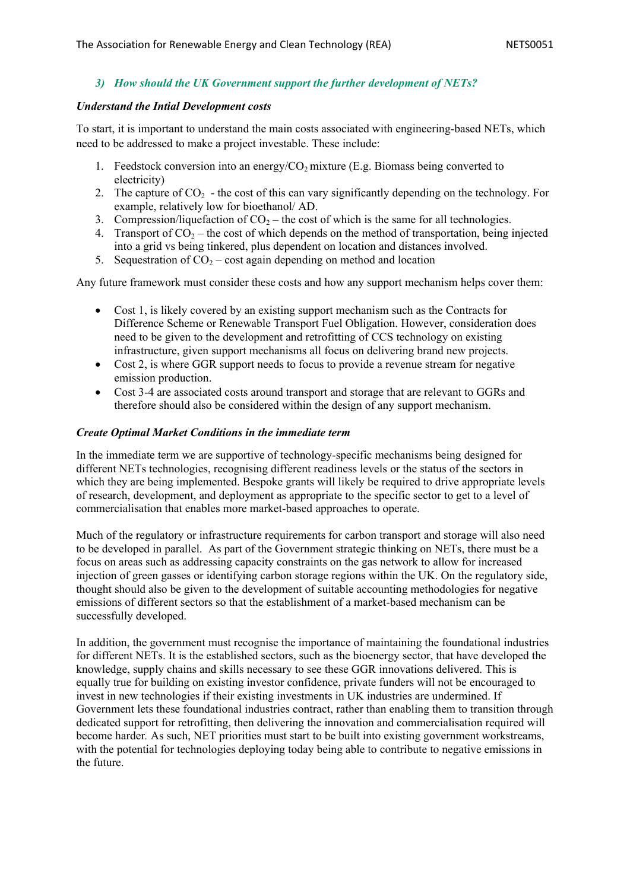### *3) How should the UK Government support the further development of NETs?*

#### *Understand the Intial Development costs*

To start, it is important to understand the main costs associated with engineering-based NETs, which need to be addressed to make a project investable. These include:

- 1. Feedstock conversion into an energy/ $CO<sub>2</sub>$  mixture (E.g. Biomass being converted to electricity)
- 2. The capture of  $CO<sub>2</sub>$  the cost of this can vary significantly depending on the technology. For example, relatively low for bioethanol/ AD.
- 3. Compression/liquefaction of  $CO<sub>2</sub>$  the cost of which is the same for all technologies.
- 4. Transport of  $CO_2$  the cost of which depends on the method of transportation, being injected into a grid vs being tinkered, plus dependent on location and distances involved.
- 5. Sequestration of  $CO_2$  cost again depending on method and location

Any future framework must consider these costs and how any support mechanism helps cover them:

- Cost 1, is likely covered by an existing support mechanism such as the Contracts for Difference Scheme or Renewable Transport Fuel Obligation. However, consideration does need to be given to the development and retrofitting of CCS technology on existing infrastructure, given support mechanisms all focus on delivering brand new projects.
- Cost 2, is where GGR support needs to focus to provide a revenue stream for negative emission production.
- Cost 3-4 are associated costs around transport and storage that are relevant to GGRs and therefore should also be considered within the design of any support mechanism.

### *Create Optimal Market Conditions in the immediate term*

In the immediate term we are supportive of technology-specific mechanisms being designed for different NETs technologies, recognising different readiness levels or the status of the sectors in which they are being implemented. Bespoke grants will likely be required to drive appropriate levels of research, development, and deployment as appropriate to the specific sector to get to a level of commercialisation that enables more market-based approaches to operate.

Much of the regulatory or infrastructure requirements for carbon transport and storage will also need to be developed in parallel. As part of the Government strategic thinking on NETs, there must be a focus on areas such as addressing capacity constraints on the gas network to allow for increased injection of green gasses or identifying carbon storage regions within the UK. On the regulatory side, thought should also be given to the development of suitable accounting methodologies for negative emissions of different sectors so that the establishment of a market-based mechanism can be successfully developed.

In addition, the government must recognise the importance of maintaining the foundational industries for different NETs. It is the established sectors, such as the bioenergy sector, that have developed the knowledge, supply chains and skills necessary to see these GGR innovations delivered. This is equally true for building on existing investor confidence, private funders will not be encouraged to invest in new technologies if their existing investments in UK industries are undermined. If Government lets these foundational industries contract, rather than enabling them to transition through dedicated support for retrofitting, then delivering the innovation and commercialisation required will become harder*.* As such, NET priorities must start to be built into existing government workstreams, with the potential for technologies deploying today being able to contribute to negative emissions in the future.